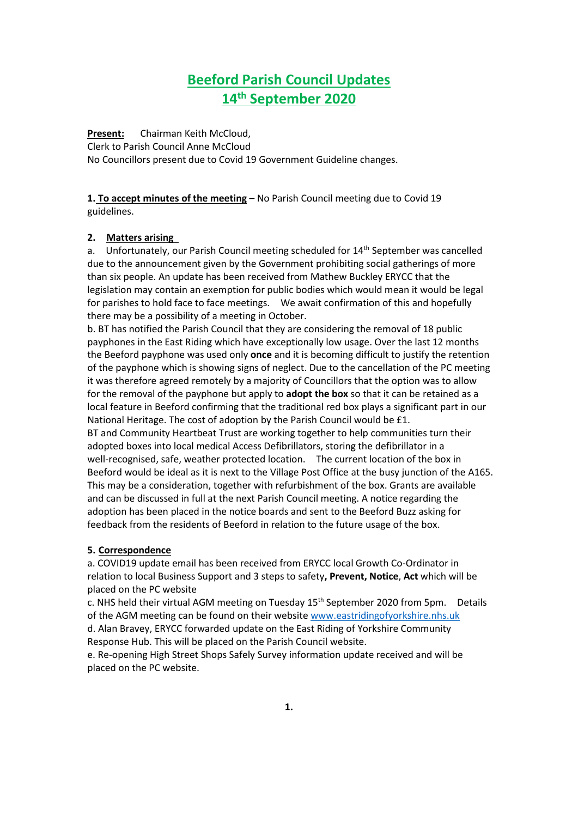# **Beeford Parish Council Updates 14th September 2020**

**Present:** Chairman Keith McCloud, Clerk to Parish Council Anne McCloud No Councillors present due to Covid 19 Government Guideline changes.

**1. To accept minutes of the meeting** – No Parish Council meeting due to Covid 19 guidelines.

#### **2. Matters arising**

a. Unfortunately, our Parish Council meeting scheduled for 14<sup>th</sup> September was cancelled due to the announcement given by the Government prohibiting social gatherings of more than six people. An update has been received from Mathew Buckley ERYCC that the legislation may contain an exemption for public bodies which would mean it would be legal for parishes to hold face to face meetings. We await confirmation of this and hopefully there may be a possibility of a meeting in October.

b. BT has notified the Parish Council that they are considering the removal of 18 public payphones in the East Riding which have exceptionally low usage. Over the last 12 months the Beeford payphone was used only **once** and it is becoming difficult to justify the retention of the payphone which is showing signs of neglect. Due to the cancellation of the PC meeting it was therefore agreed remotely by a majority of Councillors that the option was to allow for the removal of the payphone but apply to **adopt the box** so that it can be retained as a local feature in Beeford confirming that the traditional red box plays a significant part in our National Heritage. The cost of adoption by the Parish Council would be £1.

BT and Community Heartbeat Trust are working together to help communities turn their adopted boxes into local medical Access Defibrillators, storing the defibrillator in a well-recognised, safe, weather protected location. The current location of the box in Beeford would be ideal as it is next to the Village Post Office at the busy junction of the A165. This may be a consideration, together with refurbishment of the box. Grants are available and can be discussed in full at the next Parish Council meeting. A notice regarding the adoption has been placed in the notice boards and sent to the Beeford Buzz asking for feedback from the residents of Beeford in relation to the future usage of the box.

#### **5. Correspondence**

a. COVID19 update email has been received from ERYCC local Growth Co-Ordinator in relation to local Business Support and 3 steps to safety**, Prevent, Notice**, **Act** which will be placed on the PC website

c. NHS held their virtual AGM meeting on Tuesday 15<sup>th</sup> September 2020 from 5pm. Details of the AGM meeting can be found on their website [www.eastridingofyorkshire.nhs.uk](http://www.eastridingofyorkshire.nhs.uk/) d. Alan Bravey, ERYCC forwarded update on the East Riding of Yorkshire Community Response Hub. This will be placed on the Parish Council website.

e. Re-opening High Street Shops Safely Survey information update received and will be placed on the PC website.